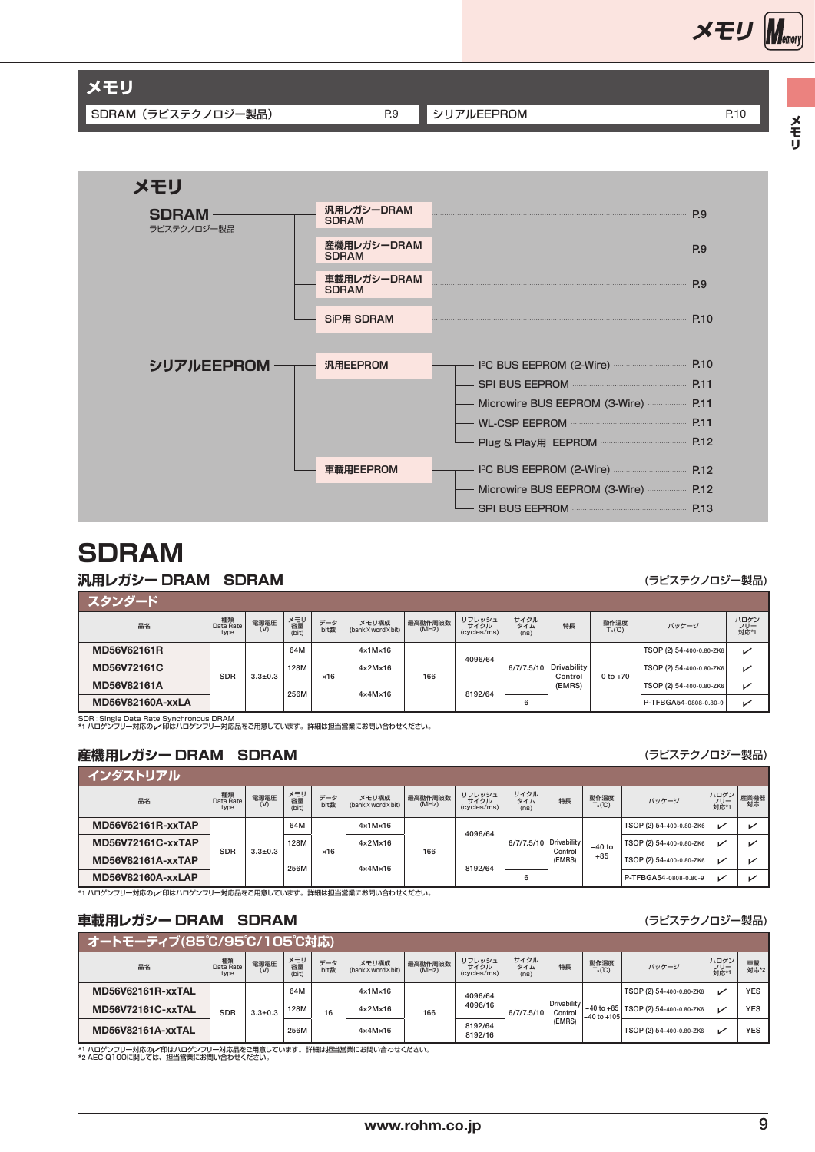| メモリ                 |     |            |  |
|---------------------|-----|------------|--|
| SDRAM (ラピステクノロジー製品) | P.9 | シリアルEEPROM |  |
|                     |     |            |  |



# SDRAM

# 汎用レガシー DRAM SDRAM

| スタンダード           |                         |               |                    |             |                                          |                  |                               |                                  |                                   |                           |                          |                       |
|------------------|-------------------------|---------------|--------------------|-------------|------------------------------------------|------------------|-------------------------------|----------------------------------|-----------------------------------|---------------------------|--------------------------|-----------------------|
| 品名               | 種類<br>Data Rate<br>type | 電源電圧<br>(V)   | メモリ<br>容量<br>(bit) | データ<br>bit数 | メモリ構成<br>$(bank \times word \times bit)$ | 最高動作周波数<br>(MHz) | リフレッシュ<br>サイクル<br>(cycles/ms) | サイクル<br>タイム<br>(n <sub>s</sub> ) | 特長                                | 動作温度<br>$T_a(\mathbb{C})$ | バッケージ                    | ハロゲン<br>- フリー<br>対応*1 |
| MD56V62161R      |                         |               | 64M                |             | $4 \times 1$ M $\times 16$               |                  | 4096/64                       |                                  |                                   |                           | TSOP (2) 54-400-0.80-ZK6 | ✓                     |
| MD56V72161C      | <b>SDR</b>              | $3.3 \pm 0.3$ | 128M               | $\times$ 16 | $4 \times 2M \times 16$                  | 166              |                               |                                  | 6/7/7.5/10 Drivability<br>Control | 0 to $+70$                | TSOP (2) 54-400-0.80-ZK6 | ✓                     |
| MD56V82161A      |                         |               | 256M               |             | $4 \times 4M \times 16$                  |                  | 8192/64                       |                                  | (EMRS)                            |                           | TSOP (2) 54-400-0.80-ZK6 | ✓                     |
| MD56V82160A-xxLA |                         |               |                    |             |                                          |                  |                               | 6                                |                                   |                           | P-TFBGA54-0808-0.80-9    | ✓                     |

SDR : Single Data Rate Synchronous DRAM<br>\*1 ハロゲンフリー対応の〆印はハロゲンフリー対応品をご用意しています。詳細は担当営業にお問い合わせください。

## **産機用レガシー DRAM SDRAM Internal Supervisor Advantagement Contract Contract CONS (ラピステクノロジー製品)**

| インダストリアル                 |                         |               |                    |             |                              |                  |                               |                                  |         |                  |                          |                     |            |
|--------------------------|-------------------------|---------------|--------------------|-------------|------------------------------|------------------|-------------------------------|----------------------------------|---------|------------------|--------------------------|---------------------|------------|
| 品名                       | 種類<br>Data Rate<br>type | 電源電圧<br>(V)   | メモリ<br>容量<br>(bit) | データ<br>bit数 | メモリ構成<br>(bank × word × bit) | 最高動作周波数<br>(MHz) | リフレッシュ<br>サイクル<br>(cycles/ms) | サイクル<br>タイム<br>(n <sub>s</sub> ) | 特長      | 動作温度<br>$T_a(C)$ | バッケージ                    | ハロゲン<br>ラリー<br>対応*1 | 産業機器<br>対応 |
| MD56V62161R-xxTAP        |                         |               | 64M                |             | $4 \times 1$ M $\times 16$   |                  | 4096/64                       |                                  |         |                  | TSOP (2) 54-400-0.80-ZK6 | M                   |            |
| <b>MD56V72161C-xxTAP</b> | <b>SDR</b>              | $3.3 \pm 0.3$ | 128M               | $\times$ 16 | $4 \times 2M \times 16$      | 166              |                               | 6/7/7.5/10 Drivability           | Control | $-40$ to         | TSOP (2) 54-400-0.80-ZK6 | M                   |            |
| MD56V82161A-xxTAP        |                         |               | 256M               |             | $4 \times 4M \times 16$      |                  | 8192/64                       |                                  | (EMRS)  | $+85$            | TSOP (2) 54-400-0.80-ZK6 | ı,                  |            |
| <b>MD56V82160A-xxLAP</b> |                         |               |                    |             |                              |                  |                               | 6                                |         |                  | P-TFBGA54-0808-0.80-9    | Ы                   |            |

\*1 ハロゲンフリー対応の 印はハロゲンフリー対応品をご用意しています。詳細は担当営業にお問い合わせください。

## **車載用レガシー DRAM SDRAM** (ラピステクノロジー製品)

| <b>、オートモーティブ(85℃/95℃/105℃対応)</b> |                         |               |                    |             |                            |                  |                               |                                  |                        |                  |                                       |                       |                   |
|----------------------------------|-------------------------|---------------|--------------------|-------------|----------------------------|------------------|-------------------------------|----------------------------------|------------------------|------------------|---------------------------------------|-----------------------|-------------------|
| 品名                               | 種類<br>Data Rate<br>type | 電源電圧<br>(V)   | メモリ<br>容量<br>(bit) | データ<br>bit数 | メモリ構成<br>(bank×word×bit)   | 最高動作周波数<br>(MHz) | リフレッシュ<br>サイクル<br>(cycles/ms) | サイクル<br>タイム<br>(n <sub>s</sub> ) | 特長                     | 動作温度<br>$T_a(C)$ | バッケージ                                 | ハロゲン<br>- フリー<br>対応*1 | 車載<br><b>対応*2</b> |
| <b>MD56V62161R-xxTAL</b>         |                         |               | 64M                |             | $4 \times 1$ M $\times 16$ |                  | 4096/64                       |                                  |                        |                  | TSOP (2) 54-400-0.80-ZK6              | $\overline{ }$        | <b>YES</b>        |
| <b>MD56V72161C-xxTAL</b>         | SDR                     | $3.3 \pm 0.3$ | 128M               | 16          | $4 \times 2M \times 16$    | 166              | 4096/16                       | 6/7/7.5/10                       | Drivability<br>Control | $-40$ to $+105$  | -40 to +85   TSOP (2) 54-400-0.80-ZK6 | $\overline{ }$        | <b>YES</b>        |
| MD56V82161A-xxTAL                |                         |               | 256M               |             | $4 \times 4M \times 16$    |                  | 8192/64<br>8192/16            |                                  | (EMRS)                 |                  | TSOP (2) 54-400-0.80-ZK6              | $\overline{ }$        | <b>YES</b>        |

\*1 ハロゲンフリー対応のレ/印はハロゲンフリー対応品をご用意しています。詳細は担当営業にお問い合わせください。<br>\*2 AEC-Q100に関しては、担当営業にお問い合わせください。

(ラピステクノロジー製品)

### www.rohm.co.jp

メモリ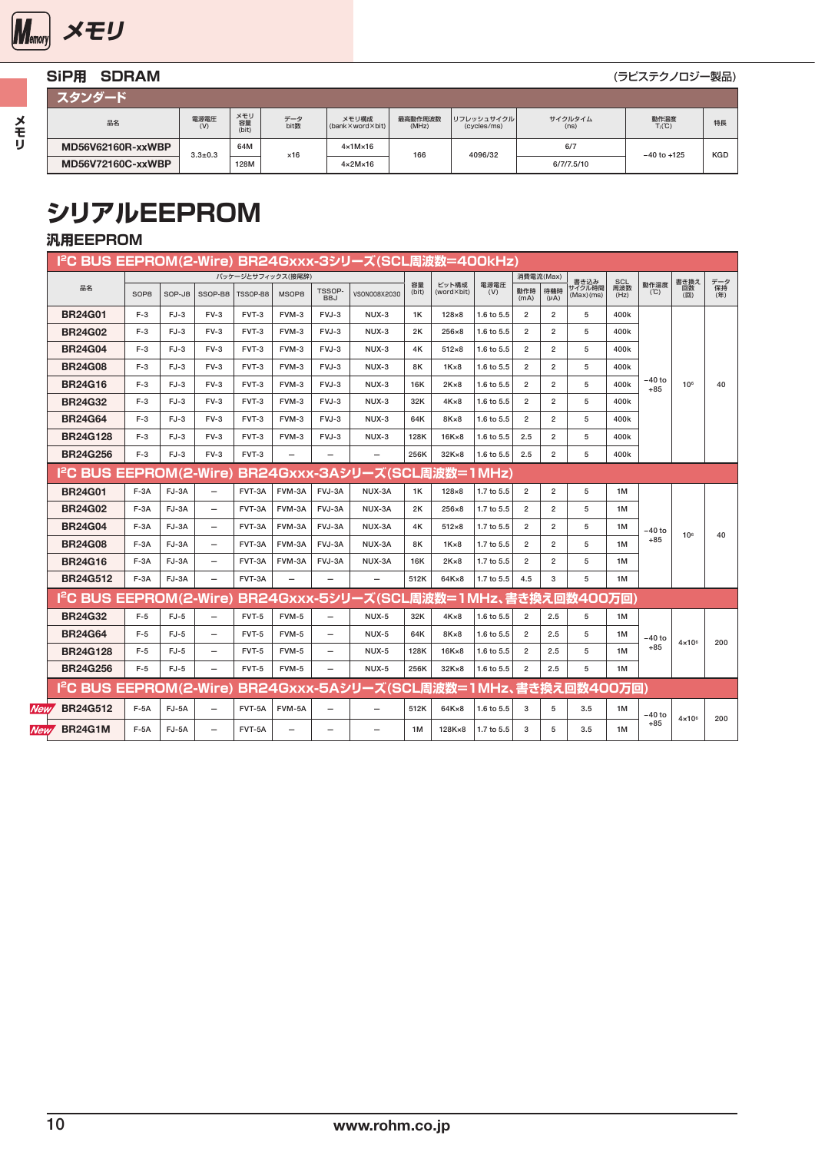<span id="page-1-0"></span>

# **SiP用 SDRAM** (ラピステクノロジー製品)

| スタンダード                   |               |                    |             |                                          |                  |                           |                 |                            |            |
|--------------------------|---------------|--------------------|-------------|------------------------------------------|------------------|---------------------------|-----------------|----------------------------|------------|
| 品名                       | 電源電圧<br>(V)   | メモリ<br>容量<br>(bit) | データ<br>bit数 | メモリ構成<br>$(bank \times word \times bit)$ | 最高動作周波数<br>(MHz) | リフレッシュサイクル<br>(cycles/ms) | サイクルタイム<br>(ns) | 動作温度<br>T <sub>j</sub> (℃) | 特長         |
| <b>MD56V62160R-xxWBP</b> | $3.3 \pm 0.3$ | 64M                | $\times 16$ | $4 \times 1$ M $\times 16$               | 166              | 4096/32                   | 6/7             | $-40$ to $+125$            | <b>KGD</b> |
| MD56V72160C-xxWBP        |               | 128M               |             | $4 \times 2M \times 16$                  |                  |                           | 6/7/7.5/10      |                            |            |

# **シリアルEEPROM**

# **汎用EEPROM**

|             | I <sup>2</sup> C BUS EEPROM(2-Wire) BR24Gxxx-3シリーズ(SCL周波数=400kHz)                |        |         |                          |          |                          |                            |                          |       |                |            |                |                          |                     |            |                   |                 |           |
|-------------|----------------------------------------------------------------------------------|--------|---------|--------------------------|----------|--------------------------|----------------------------|--------------------------|-------|----------------|------------|----------------|--------------------------|---------------------|------------|-------------------|-----------------|-----------|
|             |                                                                                  |        |         |                          |          | バッケージとサフィックス(接尾辞)        |                            |                          | 容量    | ビット構成          | 電源電圧       | 消費電流(Max)      |                          | 書き込み                | SCL<br>周波数 | 動作温度              | 書き換え            | データ<br>保持 |
|             | 品名                                                                               | SOP8   | SOP-J8  | SSOP-B8                  | TSSOP-B8 | MSOP8                    | TSSOP-<br>B <sub>8</sub> J | VS0N008X2030             | (bit) | (word×bit)     | (V)        | 動作時<br>(mA)    | 待機時<br>(A <sub>u</sub> ) | サイクル時間<br>(Max)(ms) | (Hz)       | (C)               | 回数<br>(回)       | (年)       |
|             | <b>BR24G01</b>                                                                   | $F-3$  | $FJ-3$  | $FV-3$                   | FVT-3    | FVM-3                    | FVJ-3                      | NUX-3                    | 1K    | $128\times8$   | 1.6 to 5.5 | $\overline{2}$ | $\overline{2}$           | 5                   | 400k       |                   |                 |           |
|             | <b>BR24G02</b>                                                                   | $F-3$  | $FJ-3$  | $FV-3$                   | FVT-3    | FVM-3                    | FVJ-3                      | NUX-3                    | 2K    | $256\times8$   | 1.6 to 5.5 | $\overline{2}$ | $\overline{2}$           | 5                   | 400k       |                   |                 |           |
|             | <b>BR24G04</b>                                                                   | $F-3$  | $FJ-3$  | $FV-3$                   | FVT-3    | FVM-3                    | FVJ-3                      | $NUX-3$                  | 4K    | $512\times8$   | 1.6 to 5.5 | $\overline{2}$ | $\overline{2}$           | 5                   | 400k       |                   |                 |           |
|             | <b>BR24G08</b>                                                                   | $F-3$  | $FJ-3$  | $FV-3$                   | FVT-3    | FVM-3                    | FVJ-3                      | NUX-3                    | 8K    | $1K \times 8$  | 1.6 to 5.5 | $\overline{2}$ | $\overline{2}$           | 5                   | 400k       |                   |                 |           |
|             | <b>BR24G16</b>                                                                   | $F-3$  | $FJ-3$  | $FV-3$                   | FVT-3    | FVM-3                    | FVJ-3                      | NUX-3                    | 16K   | $2K \times 8$  | 1.6 to 5.5 | $\overline{2}$ | $\overline{2}$           | 5                   | 400k       | $-40$ to<br>$+85$ | 10 <sup>6</sup> | 40        |
|             | <b>BR24G32</b>                                                                   | $F-3$  | $FJ-3$  | $FV-3$                   | FVT-3    | FVM-3                    | FVJ-3                      | NUX-3                    | 32K   | $4K \times 8$  | 1.6 to 5.5 | $\overline{2}$ | $\overline{2}$           | 5                   | 400k       |                   |                 |           |
|             | <b>BR24G64</b>                                                                   | $F-3$  | $FJ-3$  | $FV-3$                   | FVT-3    | FVM-3                    | FVJ-3                      | NUX-3                    | 64K   | 8K×8           | 1.6 to 5.5 | $\overline{2}$ | $\overline{2}$           | 5                   | 400k       |                   |                 |           |
|             | <b>BR24G128</b>                                                                  | $F-3$  | $FJ-3$  | $FV-3$                   | FVT-3    | FVM-3                    | FVJ-3                      | NUX-3                    | 128K  | $16K \times 8$ | 1.6 to 5.5 | 2.5            | $\overline{2}$           | 5                   | 400k       |                   |                 |           |
|             | <b>BR24G256</b>                                                                  | $F-3$  | $FJ-3$  | $FV-3$                   | FVT-3    | $\overline{\phantom{0}}$ | -                          | $\overline{\phantom{0}}$ | 256K  | $32K \times 8$ | 1.6 to 5.5 | 2.5            | $\overline{2}$           | 5                   | 400k       |                   |                 |           |
|             | I <sup>2</sup> C BUS EEPROM(2-Wire) BR24Gxxx-3Aシリーズ(SCL周波数=1MHz)                 |        |         |                          |          |                          |                            |                          |       |                |            |                |                          |                     |            |                   |                 |           |
|             | <b>BR24G01</b>                                                                   | $F-3A$ | FJ-3A   | $\overline{\phantom{a}}$ | FVT-3A   | FVM-3A                   | FVJ-3A                     | NUX-3A                   | 1K    | $128\times8$   | 1.7 to 5.5 | $\overline{2}$ | $\overline{2}$           | 5                   | 1M         |                   |                 |           |
|             | <b>BR24G02</b>                                                                   | $F-3A$ | FJ-3A   | $\overline{\phantom{0}}$ | FVT-3A   | FVM-3A                   | FVJ-3A                     | NUX-3A                   | 2K    | $256\times8$   | 1.7 to 5.5 | $\overline{2}$ | $\overline{2}$           | 5                   | 1M         |                   |                 |           |
|             | <b>BR24G04</b>                                                                   | $F-3A$ | FJ-3A   | -                        | FVT-3A   | FVM-3A                   | FVJ-3A                     | NUX-3A                   | 4K    | $512\times8$   | 1.7 to 5.5 | $\overline{2}$ | $\overline{2}$           | 5                   | 1M         | $-40$ to          | 10 <sup>6</sup> | 40        |
|             | <b>BR24G08</b>                                                                   | $F-3A$ | FJ-3A   | $\overline{\phantom{m}}$ | FVT-3A   | FVM-3A                   | FVJ-3A                     | NUX-3A                   | 8K    | $1K \times 8$  | 1.7 to 5.5 | $\overline{2}$ | $\overline{2}$           | 5                   | 1M         | $+85$             |                 |           |
|             | <b>BR24G16</b>                                                                   | $F-3A$ | FJ-3A   | -                        | FVT-3A   | FVM-3A                   | FVJ-3A                     | NUX-3A                   | 16K   | $2K \times 8$  | 1.7 to 5.5 | $\overline{2}$ | $\overline{2}$           | 5                   | 1M         |                   |                 |           |
|             | <b>BR24G512</b>                                                                  | $F-3A$ | FJ-3A   | -                        | FVT-3A   |                          |                            |                          | 512K  | 64K×8          | 1.7 to 5.5 | 4.5            | 3                        | 5                   | 1M         |                   |                 |           |
|             | <u>I<sup>2</sup>C BUS EEPROM(2-Wire) BR24Gxxx-5シリーズ(SCL周波数=1MHz、書き換え回数400万回)</u> |        |         |                          |          |                          |                            |                          |       |                |            |                |                          |                     |            |                   |                 |           |
|             | <b>BR24G32</b>                                                                   | $F-5$  | $FJ-5$  | $\overline{\phantom{0}}$ | $FVT-5$  | FVM-5                    | $\overline{\phantom{0}}$   | <b>NUX-5</b>             | 32K   | $4K \times 8$  | 1.6 to 5.5 | $\overline{2}$ | 2.5                      | 5                   | 1M         |                   |                 |           |
|             | <b>BR24G64</b>                                                                   | $F-5$  | $FJ-5$  | $\overline{\phantom{0}}$ | FVT-5    | FVM-5                    | -                          | NUX-5                    | 64K   | 8K×8           | 1.6 to 5.5 | $\overline{2}$ | 2.5                      | 5                   | 1M         | $-40$ to          | $4 \times 10^6$ | 200       |
|             | <b>BR24G128</b>                                                                  | $F-5$  | $FJ-5$  | -                        | FVT-5    | FVM-5                    |                            | NUX-5                    | 128K  | $16K \times 8$ | 1.6 to 5.5 | $\overline{2}$ | 2.5                      | 5                   | 1M         | $+85$             |                 |           |
|             | <b>BR24G256</b>                                                                  | $F-5$  | $FJ-5$  | $\overline{\phantom{0}}$ | $FVT-5$  | FVM-5                    |                            | NUX-5                    | 256K  | $32K\times8$   | 1.6 to 5.5 | $\overline{2}$ | 2.5                      | 5                   | 1M         |                   |                 |           |
|             | I <sup>2</sup> C BUS EEPROM(2-Wire) BR24Gxxx-5Aシリーズ(SCL周波数=1MHz、書き換え回数400万回)     |        |         |                          |          |                          |                            |                          |       |                |            |                |                          |                     |            |                   |                 |           |
| <b>New</b>  | <b>BR24G512</b>                                                                  | $F-5A$ | FJ-5A   | $\overline{\phantom{0}}$ | FVT-5A   | FVM-5A                   | $-$                        | $\overline{\phantom{0}}$ | 512K  | 64K×8          | 1.6 to 5.5 | 3              | 5                        | 3.5                 | 1M         | -40 to            |                 |           |
| <b>New/</b> | <b>BR24G1M</b>                                                                   | $F-5A$ | $FJ-5A$ | -                        | FVT-5A   |                          | $\overline{\phantom{0}}$   |                          | 1M    | 128K×8         | 1.7 to 5.5 | 3              | 5                        | 3.5                 | 1M         | $+85$             | $4 \times 106$  | 200       |
|             |                                                                                  |        |         |                          |          |                          |                            |                          |       |                |            |                |                          |                     |            |                   |                 |           |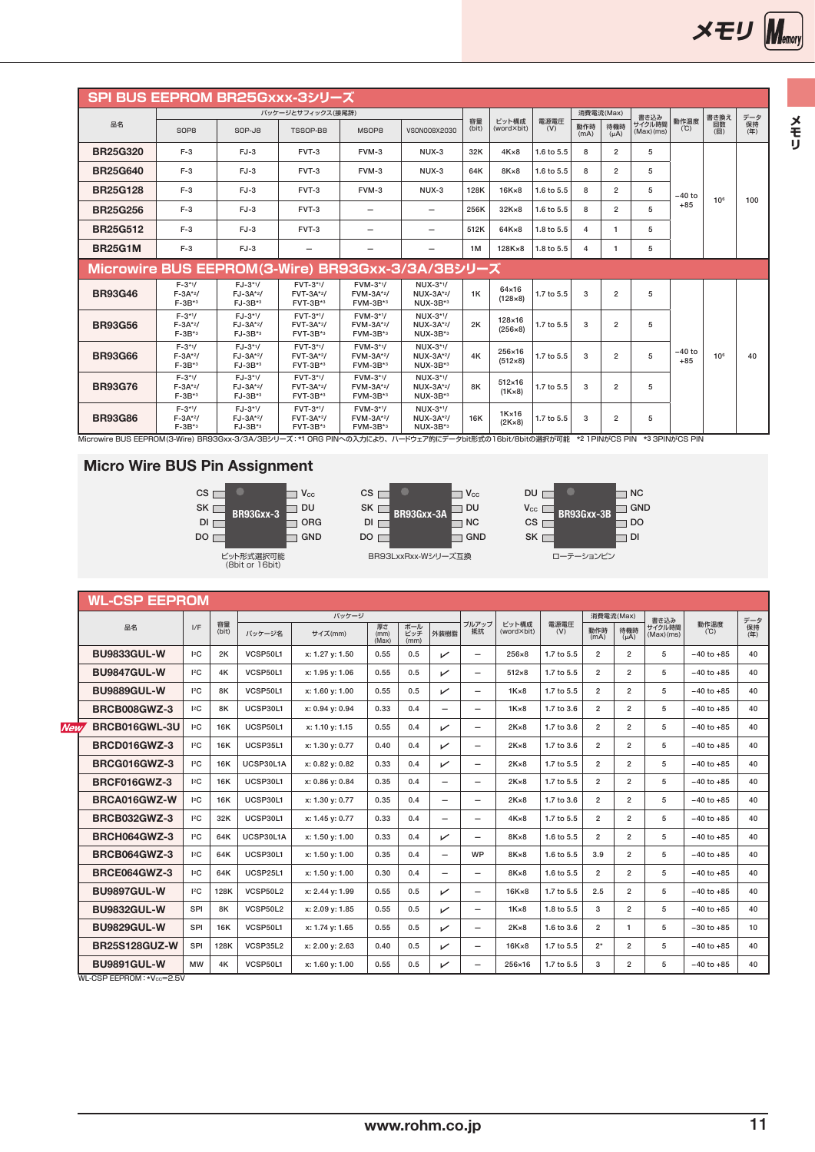<span id="page-2-0"></span>

| <b>SPI BUS EEPROM BR25Gxxx-3シリーズ</b>                                                                                               |                                            |                                      |                                     |                                   |                                     |             |                                 |             |             |                         |                     |                   |                 |           |
|------------------------------------------------------------------------------------------------------------------------------------|--------------------------------------------|--------------------------------------|-------------------------------------|-----------------------------------|-------------------------------------|-------------|---------------------------------|-------------|-------------|-------------------------|---------------------|-------------------|-----------------|-----------|
|                                                                                                                                    |                                            |                                      | バッケージとサフィックス(接尾辞)                   |                                   |                                     |             |                                 |             | 消費電流(Max)   |                         | 書き込み                | 動作温度              | 書き換え            | データ       |
| 品名                                                                                                                                 | SOP8                                       | SOP-J8                               | TSSOP-B8                            | MSOP8                             | <b>VSONOO8X2030</b>                 | 容量<br>(bit) | ビット構成<br>(word×bit)             | 電源電圧<br>(V) | 動作時<br>(mA) | 待機時<br>$(\mu A)$        | サイクル時間<br>(Max)(ms) | (C)               | 回数<br>(回)       | 保持<br>(年) |
| <b>BR25G320</b>                                                                                                                    | $F-3$                                      | $FJ-3$                               | FVT-3                               | FVM-3                             | NUX-3                               | 32K         | $4K \times 8$                   | 1.6 to 5.5  | 8           | $\overline{2}$          | 5                   |                   |                 |           |
| <b>BR25G640</b>                                                                                                                    | $F-3$                                      | $FJ-3$                               | FVT-3                               | FVM-3                             | NUX-3                               | 64K         | 8K×8                            | 1.6 to 5.5  | 8           | $\overline{2}$          | 5                   |                   |                 |           |
| <b>BR25G128</b>                                                                                                                    | $F-3$                                      | $FJ-3$                               | FVT-3                               | FVM-3                             | NUX-3                               | 128K        | $16K \times 8$                  | 1.6 to 5.5  | 8           | $\overline{2}$          | 5                   | $-40$ to          | 10 <sup>6</sup> | 100       |
| <b>BR25G256</b>                                                                                                                    | $F-3$                                      | $FJ-3$                               | FVT-3                               |                                   |                                     | 256K        | $32K \times 8$                  | 1.6 to 5.5  | 8           | $\overline{2}$          | 5                   | $+85$             |                 |           |
| <b>BR25G512</b>                                                                                                                    | $F-3$                                      | $FJ-3$                               | FVT-3                               |                                   | -                                   | 512K        | $64K \times 8$                  | 1.8 to 5.5  | 4           | $\mathbf{1}$            | 5                   |                   |                 |           |
| <b>BR25G1M</b>                                                                                                                     | $F-3$                                      | $FJ-3$                               |                                     |                                   |                                     | 1M          | 128K×8                          | 1.8 to 5.5  | 4           | 1                       | 5                   |                   |                 |           |
| Microwire BUS EEPROM(3-Wire) BR93Gxx-3/3A/3Bシリーズ                                                                                   |                                            |                                      |                                     |                                   |                                     |             |                                 |             |             |                         |                     |                   |                 |           |
| <b>BR93G46</b>                                                                                                                     | $F - 3*1/$<br>$F - 3A*2/$<br>$F - 3B^{*3}$ | $FJ-3*1/$<br>$FJ - 3A*2/$<br>FJ-3B*3 | FVT-3*1/<br>FVT-3A*2/<br>$FVT-3B*3$ | FVM-3*1/<br>FVM-3A*2/<br>FVM-3B*3 | NUX-3*1/<br>NUX-3A*2/<br>NUX-3B*3   | 1K          | 64×16<br>$(128\times8)$         | 1.7 to 5.5  | 3           | $\overline{2}$          | 5                   |                   |                 |           |
| <b>BR93G56</b>                                                                                                                     | $F - 3*1/$<br>$F - 3A*2$<br>$F - 3B^{*3}$  | $FJ - 3*1/$<br>$FJ-3A*2/$<br>FJ-3B*3 | FVT-3*1/<br>FVT-3A*2/<br>FVT-3B*3   | FVM-3*1/<br>FVM-3A*2/<br>FVM-3B*3 | NUX-3*1/<br>NUX-3A*2/<br>NUX-3B*3   | 2K          | 128×16<br>$(256 \times 8)$      | 1.7 to 5.5  | 3           | $\overline{\mathbf{c}}$ | 5                   |                   |                 |           |
| <b>BR93G66</b>                                                                                                                     | $F - 3*1/$<br>$F - 3A*2$<br>$F-3B*3$       | $FJ-3*1/$<br>$FJ-3A*2/$<br>FJ-3B*3   | FVT-3*1/<br>FVT-3A*2/<br>FVT-3B*3   | FVM-3*1/<br>FVM-3A*2/<br>FVM-3B*3 | $NUX-3*1/$<br>NUX-3A*2/<br>NUX-3B*3 | 4K          | 256×16<br>$(512\times8)$        | 1.7 to 5.5  | 3           | $\overline{2}$          | 5                   | $-40$ to<br>$+85$ | 10 <sup>6</sup> | 40        |
| <b>BR93G76</b>                                                                                                                     | $F - 3*1/$<br>$F - 3A*2/$<br>$F - 3B^{*3}$ | $FJ-3*1/$<br>$FJ-3A*2/$<br>FJ-3B*3   | FVT-3*1/<br>FVT-3A*2/<br>FVT-3B*3   | FVM-3*1/<br>FVM-3A*2/<br>FVM-3B*3 | NUX-3*1/<br>NUX-3A*2/<br>NUX-3B*3   | 8K          | 512×16<br>$(1K\times8)$         | 1.7 to 5.5  | 3           | $\overline{2}$          | 5                   |                   |                 |           |
| <b>BR93G86</b>                                                                                                                     | $F - 3*1/$<br>$F - 3A*2/$<br>$F - 3B^{*3}$ | $FJ-3*1/$<br>$FJ-3A*2/$<br>FJ-3B*3   | $FVT-3*1/$<br>FVT-3A*2/<br>FVT-3B*3 | FVM-3*1/<br>FVM-3A*2/<br>FVM-3B*3 | $NUX-3*1/$<br>NUX-3A*2/<br>NUX-3B*3 | 16K         | $1K \times 16$<br>$(2K\times8)$ | 1.7 to 5.5  | 3           | 2                       | 5                   |                   |                 |           |
| Microwire BUS EEPROM(3-Wire) BR93Gxx-3/3A/3Bシリーズ:*1 ORG PINへの入力により、ハードウェア的にデータbit形式の16bit/8bitの選択が可能 *2 1PINがCS PIN *3 3PINがCS PIN |                                            |                                      |                                     |                                   |                                     |             |                                 |             |             |                         |                     |                   |                 |           |

# Micro Wire BUS Pin Assignment







|            | <b>WL-CSP EEPROM</b>     |            |            |           |                 |                     |                    |                          |                          |                |            |                |                         |                     |                |           |
|------------|--------------------------|------------|------------|-----------|-----------------|---------------------|--------------------|--------------------------|--------------------------|----------------|------------|----------------|-------------------------|---------------------|----------------|-----------|
|            |                          |            | 容量         |           | バッケージ           |                     |                    |                          | ブルアップ                    | ビット構成          | 電源電圧       | 消費電流(Max)      |                         | 書き込み                | 動作温度           | データ       |
|            | 品名                       | I/F        | (bit)      | バッケージ名    | サイズ(mm)         | 厚さ<br>(mm)<br>(Max) | ボール<br>ビッチ<br>(mm) | 外装樹脂                     | 抵抗                       | (word×bit)     | (V)        | 動作時<br>(mA)    | 待機時<br>$(\mu A)$        | サイクル時間<br>(Max)(ms) | (C)            | 保持<br>(年) |
|            | <b>BU9833GUL-W</b>       | 2C         | 2K         | VCSP50L1  | x: 1.27 y: 1.50 | 0.55                | 0.5                | ↙                        | -                        | 256×8          | 1.7 to 5.5 | $\overline{2}$ | $\overline{2}$          | 5                   | $-40$ to $+85$ | 40        |
|            | <b>BU9847GUL-W</b>       | ${}^{12}C$ | 4K         | VCSP50L1  | x: 1.95 y: 1.06 | 0.55                | 0.5                | ↙                        | Ξ.                       | $512\times8$   | 1.7 to 5.5 | $\overline{2}$ | $\overline{2}$          | 5                   | $-40$ to $+85$ | 40        |
|            | <b>BU9889GUL-W</b>       | 2C         | 8K         | VCSP50L1  | x: 1.60 y: 1.00 | 0.55                | 0.5                | ↙                        | -                        | $1K \times 8$  | 1.7 to 5.5 | $\overline{2}$ | $\overline{2}$          | 5                   | $-40$ to $+85$ | 40        |
|            | <b>BRCB008GWZ-3</b>      | 12C        | 8K         | UCSP30L1  | x: 0.94 y: 0.94 | 0.33                | 0.4                | $\overline{\phantom{0}}$ | $\overline{\phantom{0}}$ | $1K \times 8$  | 1.7 to 3.6 | $\overline{2}$ | $\overline{2}$          | 5                   | $-40$ to $+85$ | 40        |
| <b>New</b> | BRCB016GWL-3U            | 2C         | 16K        | UCSP50L1  | x: 1.10 y: 1.15 | 0.55                | 0.4                | ↙                        | $\overline{\phantom{0}}$ | $2K \times 8$  | 1.7 to 3.6 | $\overline{2}$ | $\overline{2}$          | 5                   | $-40$ to $+85$ | 40        |
|            | BRCD016GWZ-3             | 12C        | 16K        | UCSP35L1  | x: 1.30 y: 0.77 | 0.40                | 0.4                | $\checkmark$             | Ξ.                       | $2K \times 8$  | 1.7 to 3.6 | $\overline{2}$ | $\overline{2}$          | 5                   | $-40$ to $+85$ | 40        |
|            | <b>BRCG016GWZ-3</b>      | 2C         | 16K        | UCSP30L1A | x: 0.82 y: 0.82 | 0.33                | 0.4                | ↙                        | Ξ.                       | $2K \times 8$  | 1.7 to 5.5 | $\overline{2}$ | $\overline{2}$          | 5                   | $-40$ to $+85$ | 40        |
|            | BRCF016GWZ-3             | 12C        | <b>16K</b> | UCSP30L1  | x: 0.86 y: 0.84 | 0.35                | 0.4                | $\overline{\phantom{0}}$ | Ξ.                       | $2K \times 8$  | 1.7 to 5.5 | $\overline{2}$ | $\overline{2}$          | 5                   | $-40$ to $+85$ | 40        |
|            | BRCA016GWZ-W             | 12C        | 16K        | UCSP30L1  | x: 1.30 y: 0.77 | 0.35                | 0.4                | $\overline{\phantom{0}}$ | $\overline{\phantom{0}}$ | $2K \times 8$  | 1.7 to 3.6 | $\overline{2}$ | $\overline{2}$          | 5                   | $-40$ to $+85$ | 40        |
|            | <b>BRCB032GWZ-3</b>      | 12C        | 32K        | UCSP30L1  | x: 1.45 y: 0.77 | 0.33                | 0.4                | $\overline{\phantom{0}}$ | -                        | $4K \times 8$  | 1.7 to 5.5 | $\overline{2}$ | $\overline{2}$          | 5                   | $-40$ to $+85$ | 40        |
|            | BRCH064GWZ-3             | 12C        | 64K        | UCSP30L1A | x: 1.50 y: 1.00 | 0.33                | 0.4                | $\checkmark$             | Ξ.                       | 8K×8           | 1.6 to 5.5 | $\overline{2}$ | $\overline{2}$          | 5                   | $-40$ to $+85$ | 40        |
|            | BRCB064GWZ-3             | 2C         | 64K        | UCSP30L1  | x: 1.50 y: 1.00 | 0.35                | 0.4                | $\overline{\phantom{0}}$ | <b>WP</b>                | 8K×8           | 1.6 to 5.5 | 3.9            | $\overline{2}$          | 5                   | $-40$ to $+85$ | 40        |
|            | BRCE064GWZ-3             | 12C        | 64K        | UCSP25L1  | x: 1.50 y: 1.00 | 0.30                | 0.4                | $\overline{\phantom{0}}$ | Ξ.                       | 8K×8           | 1.6 to 5.5 | $\overline{2}$ | $\overline{2}$          | 5                   | $-40$ to $+85$ | 40        |
|            | <b>BU9897GUL-W</b>       | 2C         | 128K       | VCSP50L2  | x: 2.44 y: 1.99 | 0.55                | 0.5                | ↙                        | Ξ.                       | $16K \times 8$ | 1.7 to 5.5 | 2.5            | $\overline{2}$          | 5                   | $-40$ to $+85$ | 40        |
|            | <b>BU9832GUL-W</b>       | SPI        | 8K         | VCSP50L2  | x: 2.09 y: 1.85 | 0.55                | 0.5                | ↙                        | Ξ.                       | $1K \times 8$  | 1.8 to 5.5 | 3              | $\overline{\mathbf{c}}$ | 5                   | $-40$ to $+85$ | 40        |
|            | <b>BU9829GUL-W</b>       | SPI        | 16K        | VCSP50L1  | x: 1.74 y: 1.65 | 0.55                | 0.5                | ↙                        | $\overline{\phantom{0}}$ | $2K \times 8$  | 1.6 to 3.6 | $\overline{2}$ | 1                       | 5                   | $-30$ to $+85$ | 10        |
|            | <b>BR25S128GUZ-W</b>     | SPI        | 128K       | VCSP35L2  | x: 2.00 y: 2.63 | 0.40                | 0.5                | ↙                        | Ξ.                       | $16K \times 8$ | 1.7 to 5.5 | $2^*$          | $\overline{2}$          | 5                   | $-40$ to $+85$ | 40        |
|            | <b>BU9891GUL-W</b>       | <b>MW</b>  | 4K         | VCSP50L1  | x: 1.60 y: 1.00 | 0.55                | 0.5                | ↙                        | $\overline{\phantom{0}}$ | 256×16         | 1.7 to 5.5 | 3              | $\overline{2}$          | 5                   | $-40$ to $+85$ | 40        |
|            | WL-CSP EEPROM: *Vcc=2.5V |            |            |           |                 |                     |                    |                          |                          |                |            |                |                         |                     |                |           |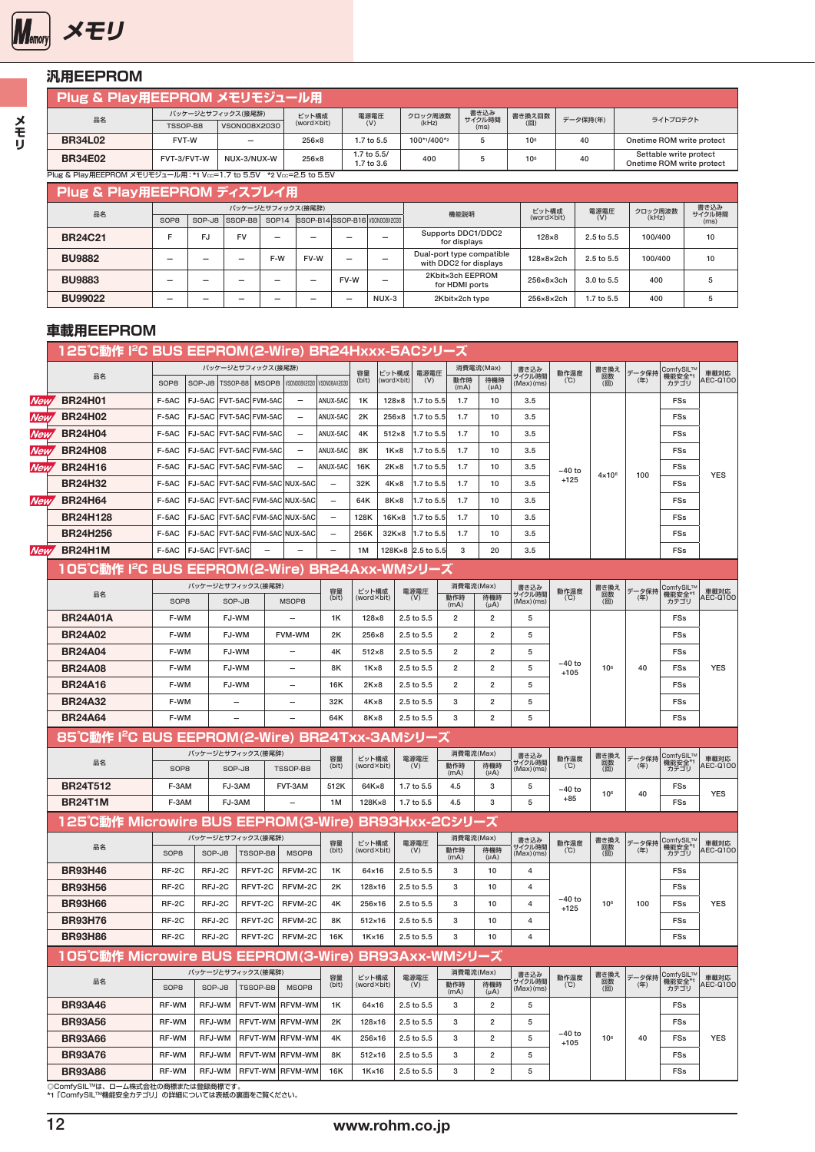<span id="page-3-0"></span>

メモリ

## **汎用EEPROM**

| Plug & Play用EEPROM メモリモジュール用 |              |                          |              |                           |                  |                |                 |          |                                                     |
|------------------------------|--------------|--------------------------|--------------|---------------------------|------------------|----------------|-----------------|----------|-----------------------------------------------------|
| 品名                           |              | バッケージとサフィックス(接尾辞)        | ビット構成        | 電源電圧                      | クロック周波数<br>(kHz) | 書き込み<br>サイクル時間 | 書き換え回数          | データ保持(年) | ライトプロテクト                                            |
|                              | TSSOP-B8     | VSON008X2030             | (word×bit)   | (V)                       |                  | (ms)           | (回)             |          |                                                     |
| <b>BR34L02</b>               | <b>FVT-W</b> | $\overline{\phantom{0}}$ | $256\times8$ | $1.7$ to $5.5$            | 100*1/400*2      |                | 10 <sup>6</sup> | 40       | Onetime ROM write protect                           |
| <b>BR34E02</b>               | FVT-3/FVT-W  | NUX-3/NUX-W              | $256\times8$ | 1.7 to 5.5/<br>1.7 to 3.6 | 400              |                | 10 <sup>6</sup> | 40       | Settable write protect<br>Onetime ROM write protect |

Plug & Play用EEPROM メモリモジュール用: \*1 Vcc=1.7 to 5.5V \*2 Vcc=2.5 to 5.5V

| Plug & Play用EEPROM ディスプレイ用 |             |    |                     |                          |      |      |                                |                                                     |                        |            |         |                |
|----------------------------|-------------|----|---------------------|--------------------------|------|------|--------------------------------|-----------------------------------------------------|------------------------|------------|---------|----------------|
| 品名                         |             |    |                     | バッケージとサフィックス(接尾辞)        |      |      |                                | 機能説明                                                | ビット構成                  | 電源電圧       | クロック周波数 | 書き込み<br>サイクル時間 |
|                            | <b>SOP8</b> |    | $SOP-JB$ $ SSOP-BB$ | S0P14                    |      |      | SSOP-B14 SSOP-B16 VSON008X2030 |                                                     | (word×bit)             | (V)        | (kHz)   | (ms)           |
| <b>BR24C21</b>             |             | FJ | <b>FV</b>           | $\overline{\phantom{a}}$ | -    | -    | -                              | Supports DDC1/DDC2<br>for displays                  | $128\times8$           | 2.5 to 5.5 | 100/400 | 10             |
| <b>BU9882</b>              |             |    |                     | F-W                      | FV-W | -    | -                              | Dual-port type compatible<br>with DDC2 for displays | $128\times8\times2$ ch | 2.5 to 5.5 | 100/400 | 10             |
| <b>BU9883</b>              |             |    |                     | -                        | -    | FV-W | -                              | 2Kbit×3ch EEPROM<br>for HDMI ports                  | 256x8x3ch              | 3.0 to 5.5 | 400     | 5              |
| <b>BU99022</b>             |             |    |                     |                          | -    | -    | NUX-3                          | 2Kbit×2ch type                                      | $256\times8\times2$ ch | 1.7 to 5.5 | 400     | 5              |

# **車載用EEPROM**

|             | 125℃動作 I <sup>2</sup> C BUS EEPROM(2-Wire) BR24Hxxx-5ACシリーズ |         |        |                         |          |                          |                          |                     |                 |             |            |                  |                         |                             |                    |                   |              |                             |                  |
|-------------|-------------------------------------------------------------|---------|--------|-------------------------|----------|--------------------------|--------------------------|---------------------|-----------------|-------------|------------|------------------|-------------------------|-----------------------------|--------------------|-------------------|--------------|-----------------------------|------------------|
|             |                                                             |         |        | バッケージとサフィックス(接尾辞)       |          |                          |                          | 容量                  | ビット構成           |             | 電源電圧       |                  | 消費電流(Max)               | 書き込み                        | 動作温度               | 書き換え              | データ保持        | ComfySIL™                   | 車載対応             |
|             | 品名                                                          | SOP8    | SOP-J8 | TSSOP-B8 MSOP8          |          | VSON008X2030             | VSONO8AX2030             | (bit)               | (word×bit)      |             | (V)        | 動作時<br>(mA)      | 待機時<br>$(\mu A)$        | サイクル時間<br>(Max)(ms)         | (C)                | 回数<br>(回)         | (年)          | 機能安全*1<br>カテゴリ              | AEC-Q100         |
| <b>New</b>  | <b>BR24H01</b>                                              | F-5AC   | FJ-5AC | <b>FVT-5AC FVM-5AC</b>  |          |                          | ANUX-5AC                 | 1K                  | $128\times8$    |             | 1.7 to 5.5 | 1.7              | 10                      | 3.5                         |                    |                   |              | FSs                         |                  |
| New.        | <b>BR24H02</b>                                              | F-5AC   | FJ-5AC | <b>FVT-5AC FVM-5AC</b>  |          | $\qquad \qquad -$        | ANUX-5AC                 | 2K                  | $256\times8$    |             | 1.7 to 5.5 | 1.7              | 10                      | 3.5                         |                    |                   |              | FSs                         |                  |
| New,        | <b>BR24H04</b>                                              | F-5AC   | FJ-5AC | <b>FVT-5AC FVM-5AC</b>  |          | $\overline{\phantom{m}}$ | ANUX-5AC                 | 4K                  | $512\times8$    |             | 1.7 to 5.5 | 1.7              | 10                      | 3.5                         |                    |                   |              | FSs                         |                  |
| New.        | <b>BR24H08</b>                                              | F-5AC   | FJ-5AC | <b>FVT-5AC FVM-5AC</b>  |          |                          | ANUX-5AC                 | 8K                  | $1K \times 8$   |             | 1.7 to 5.5 | 1.7              | 10                      | 3.5                         |                    |                   |              | <b>FSs</b>                  |                  |
| <b>New</b>  | <b>BR24H16</b>                                              | $F-5AC$ | FJ-5AC | <b>FVT-5AC FVM-5AC</b>  |          | $\overline{\phantom{0}}$ | ANUX-5AC                 | 16K                 | $2K \times 8$   |             | 1.7 to 5.5 | 1.7              | 10                      | 3.5                         | $-40$ to           |                   |              | <b>FSs</b>                  |                  |
|             | <b>BR24H32</b>                                              | F-5AC   | FJ-5AC | FVT-5AC FVM-5AC NUX-5AC |          |                          | $\overline{\phantom{0}}$ | 32K                 | $4K \times 8$   |             | 1.7 to 5.5 | 1.7              | 10                      | 3.5                         | $+125$             | $4 \times 10^6$   | 100          | FSs                         | <b>YES</b>       |
| <b>New/</b> | <b>BR24H64</b>                                              | F-5AC   | FJ-5AC | FVT-5AC FVM-5AC NUX-5AC |          |                          | $\overline{\phantom{0}}$ | 64K                 | 8K×8            |             | 1.7 to 5.5 | 1.7              | 10                      | 3.5                         |                    |                   |              | FSs                         |                  |
|             | <b>BR24H128</b>                                             | F-5AC   | FJ-5AC | FVT-5AC FVM-5AC NUX-5AC |          |                          | $\overline{\phantom{0}}$ | 128K                | $16K \times 8$  |             | 1.7 to 5.5 | 1.7              | 10                      | 3.5                         |                    |                   |              | FSs                         |                  |
|             | <b>BR24H256</b>                                             | F-5AC   | FJ-5AC | FVT-5AC FVM-5AC NUX-5AC |          |                          | $\qquad \qquad -$        | 256K                | $32K \times 8$  |             | 1.7 to 5.5 | 1.7              | 10                      | 3.5                         |                    |                   |              | FSs                         |                  |
| <b>New</b>  | <b>BR24H1M</b>                                              | F-5AC   |        | FJ-5AC FVT-5AC          |          |                          | $\overline{a}$           | 1M                  | $128K \times 8$ |             | 2.5 to 5.5 | 3                | 20                      | 3.5                         |                    |                   |              | FSs                         |                  |
|             | 105℃動作 I <sup>2</sup> C BUS EEPROM(2-Wire) BR24Axx-WMシリーズ   |         |        |                         |          |                          |                          |                     |                 |             |            |                  |                         |                             |                    |                   |              |                             |                  |
|             |                                                             |         |        | バッケージとサフィックス(接尾辞)       |          |                          |                          |                     |                 |             |            | 消費電流(Max)        |                         |                             |                    |                   |              |                             |                  |
|             | 品名                                                          | SOP8    |        | SOP-J8                  |          | MSOP8                    | 容量<br>(bit)              | ビット構成<br>(word×bit) |                 | 電源電圧<br>(V) |            | 動作時              | 待機時                     | 書き込み<br>サイクル時間<br>(Max)(ms) | 動作温度<br>(C)        | 書き換え<br>回数<br>(回) | データ保持<br>(年) | ComfySIL™<br>機能安全*1<br>カテゴリ | 車載対応<br>AEC-Q100 |
|             | <b>BR24A01A</b>                                             | F-WM    |        | FJ-WM                   |          |                          | 1K                       | $128\times8$        |                 | 2.5 to 5.5  |            | (mA)<br>2        | $(\mu A)$<br>2          | 5                           |                    |                   |              | FSs                         |                  |
|             | <b>BR24A02</b>                                              | F-WM    |        | FJ-WM                   |          | <b>FVM-WM</b>            | 2K                       | $256\times8$        |                 | 2.5 to 5.5  |            | $\overline{c}$   | $\overline{\mathbf{2}}$ | 5                           |                    |                   |              | FSs                         |                  |
|             | <b>BR24A04</b>                                              | F-WM    |        | FJ-WM                   |          |                          | 4K                       | $512\times8$        |                 | 2.5 to 5.5  |            | 2                | 2                       | 5                           |                    |                   |              | FSs                         |                  |
|             | <b>BR24A08</b>                                              | F-WM    |        | FJ-WM                   |          | $\overline{\phantom{0}}$ | 8K                       | $1K \times 8$       |                 | 2.5 to 5.5  |            | $\overline{2}$   | $\overline{2}$          | 5                           | $-40$ to           | 10 <sup>6</sup>   | 40           | <b>FSs</b>                  | <b>YES</b>       |
|             |                                                             |         |        |                         |          |                          |                          |                     |                 |             |            |                  |                         |                             | $+105$             |                   |              |                             |                  |
|             | <b>BR24A16</b>                                              | F-WM    |        | FJ-WM                   |          | $\overline{\phantom{0}}$ | 16K                      | $2K \times 8$       |                 | 2.5 to 5.5  |            | $\overline{2}$   | $\overline{2}$          | 5                           |                    |                   |              | FSs                         |                  |
|             | <b>BR24A32</b>                                              | F-WM    |        |                         |          | $\overline{\phantom{0}}$ | 32K                      | $4K \times 8$       |                 | 2.5 to 5.5  |            | 3                | $\overline{2}$          | 5                           |                    |                   |              | FSs                         |                  |
|             | <b>BR24A64</b>                                              | F-WM    |        |                         |          |                          | 64K                      | 8K×8                |                 | 2.5 to 5.5  |            | 3                | $\overline{2}$          | 5                           |                    |                   |              | FSs                         |                  |
|             | 85℃動作 I <sup>2</sup> C BUS EEPROM(2-Wire) BR24Txx-3AMシリーズ   |         |        |                         |          |                          |                          |                     |                 |             |            |                  |                         |                             |                    |                   |              |                             |                  |
|             | 品名                                                          |         |        | バッケージとサフィックス(接尾辞)       |          |                          | 容量<br>(bit)              | ビット構成<br>(word×bit) |                 | 電源電圧<br>(V) |            | 消費電流(Max)<br>動作時 | 待機時                     | 書き込み<br>サイクル時間              | 動作温度<br>(C)        | 書き換え<br>回数        | データ保持<br>(年) | ComfySIL™<br>機能安全*1         | 車載対応<br>AEC-Q100 |
|             |                                                             | SOP8    |        | SOP-J8                  |          | TSSOP-B8                 |                          |                     |                 |             |            | (mA)             | $(\mu A)$               | (Max)(ms)                   |                    | (回)               |              | カテゴリ                        |                  |
|             | <b>BR24T512</b>                                             | F-3AM   |        | FJ-3AM                  |          | FVT-3AM                  | 512K                     | $64K \times 8$      |                 | 1.7 to 5.5  |            | 4.5              | 3                       | 5                           | $-40$ to<br>$+85$  | 10 <sup>6</sup>   | 40           | FSs                         | <b>YES</b>       |
|             | <b>BR24T1M</b>                                              | F-3AM   |        | FJ-3AM                  |          |                          | 1M                       | 128K×8              |                 | 1.7 to 5.5  |            | 4.5              | 3                       | 5                           |                    |                   |              | FSs                         |                  |
|             | 125℃動作 Microwire BUS EEPROM(3-Wire)                         |         |        |                         |          |                          |                          |                     |                 |             |            | BR93Hxx-2Cシリーズ   |                         |                             |                    |                   |              |                             |                  |
|             | 品名                                                          |         |        | バッケージとサフィックス(接尾辞)       |          |                          | 容量                       | ビット構成               |                 | 電源電圧        |            | 消費電流(Max)        |                         | 書き込み<br>サイクル時間              | 動作温度               | 書き換え<br>回数        | データ保持        | ComfySIL™<br>機能安全*1         | 車載対応             |
|             |                                                             | SOP8    | SOP-J8 |                         | TSSOP-B8 | MSOP8                    | (bit)                    | (word×bit)          |                 | (V)         |            | 動作時<br>(mA)      | 待機時<br>$(\mu A)$        | (Max)(ms)                   | (C)                | (回)               | (年)          | カテゴリ                        | AEC-Q100         |
|             | <b>BR93H46</b>                                              | RF-2C   | RFJ-2C |                         | RFVT-2C  | RFVM-2C                  | 1K                       | 64×16               |                 | 2.5 to 5.5  |            | 3                | 10                      | 4                           |                    |                   |              | FSs                         |                  |
|             | <b>BR93H56</b>                                              | RF-2C   | RFJ-2C |                         | RFVT-2C  | RFVM-2C                  | 2K                       | 128×16              |                 | 2.5 to 5.5  |            | 3                | 10                      | 4                           |                    |                   |              | FSs                         |                  |
|             | <b>BR93H66</b>                                              | RF-2C   | RFJ-2C |                         | RFVT-2C  | RFVM-2C                  | 4K                       | 256×16              |                 | 2.5 to 5.5  |            | 3                | 10                      | 4                           | $-40$ to<br>$+125$ | 106               | 100          | <b>FSs</b>                  | <b>YES</b>       |
|             | <b>BR93H76</b>                                              | RF-2C   | RFJ-2C |                         | RFVT-2C  | RFVM-2C                  | 8K                       | $512\times16$       |                 | 2.5 to 5.5  |            | 3                | 10                      | 4                           |                    |                   |              | <b>FSs</b>                  |                  |
|             | <b>BR93H86</b>                                              | RF-2C   | RFJ-2C |                         | RFVT-2C  | RFVM-2C                  | <b>16K</b>               | $1K \times 16$      |                 | 2.5 to 5.5  |            | 3                | 10                      | $\overline{4}$              |                    |                   |              | <b>FSs</b>                  |                  |
|             | I 05℃動作 Microwire BUS EEPROM(3-Wire) BR93Axx-WMシリーズ         |         |        |                         |          |                          |                          |                     |                 |             |            |                  |                         |                             |                    |                   |              |                             |                  |
|             | 品名                                                          |         |        | バッケージとサフィックス(接尾辞)       |          |                          | 容量                       | ビット構成               |                 | 電源電圧        |            | 消費電流(Max)        |                         | 書き込み<br>サイクル時間              | 動作温度               | 書き換え<br>回数        | 一夕保持         | ComfySIL™<br>機能安全*1         | 車載対応             |
|             |                                                             | SOP8    | SOP-J8 |                         | TSSOP-B8 | MSOP8                    | (bit)                    | (word×bit)          |                 | (V)         |            | 動作時<br>(mA)      | 待機時<br>$(\mu A)$        | (Max)(ms)                   | (C)                | (回)               | (年)          | カテゴリ                        | AEC-Q100         |
|             | <b>BR93A46</b>                                              | RF-WM   | RFJ-WM |                         |          | RFVT-WM RFVM-WM          | 1K                       | 64×16               |                 | 2.5 to 5.5  |            | 3                | 2                       | 5                           |                    |                   |              | FSs                         |                  |
|             | <b>BR93A56</b>                                              | RF-WM   | RFJ-WM |                         |          | RFVT-WM RFVM-WM          | 2K                       | 128×16              |                 | 2.5 to 5.5  |            | 3                | $\overline{2}$          | 5                           |                    |                   |              | FSs                         |                  |
|             | <b>BR93A66</b>                                              | RF-WM   | RFJ-WM |                         |          | RFVT-WM RFVM-WM          | 4K                       | 256×16              |                 | 2.5 to 5.5  |            | 3                | 2                       | 5                           | $-40$ to<br>+105   | 10 <sup>6</sup>   | 40           | FSs                         | <b>YES</b>       |
|             | <b>BR93A76</b>                                              | RF-WM   | RFJ-WM |                         |          | RFVT-WM RFVM-WM          | 8K                       | $512\times16$       |                 | 2.5 to 5.5  |            | 3                | $\overline{2}$          | 5                           |                    |                   |              | FSs                         |                  |
|             | <b>BR93A86</b>                                              | RF-WM   | RFJ-WM |                         |          | RFVT-WM RFVM-WM          | 16K                      | $1K \times 16$      |                 | 2.5 to 5.5  |            | 3                | $\overline{2}$          | 5                           |                    |                   |              | FSs                         |                  |

◎ComfySIL™は、ローム株式会社の商標または登録商標です。<br>\*1「ComfySIL™機能安全カテゴリ」の詳細については表紙の裏面をご覧ください。